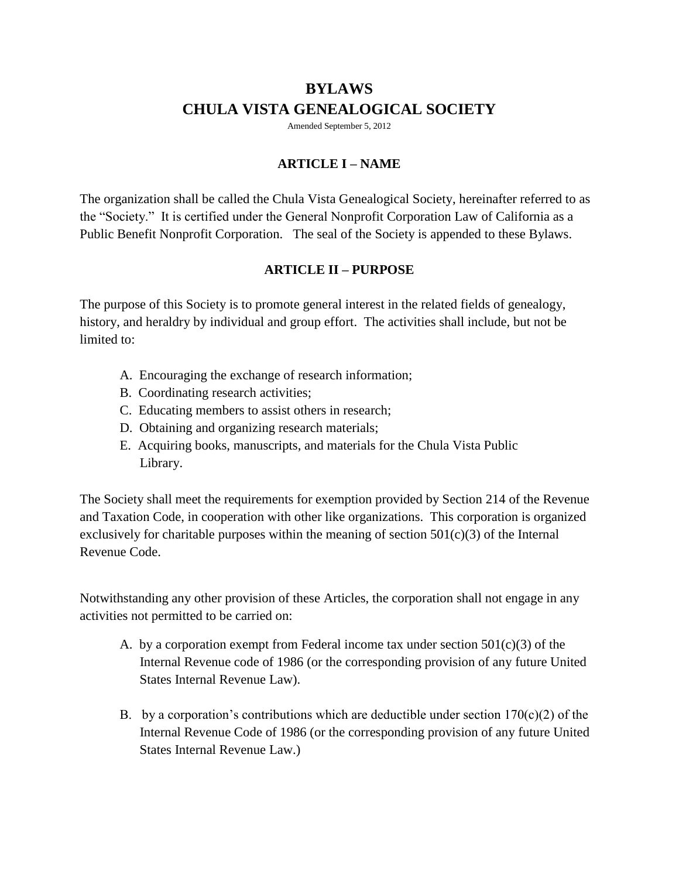# **BYLAWS CHULA VISTA GENEALOGICAL SOCIETY**

Amended September 5, 2012

## **ARTICLE I – NAME**

The organization shall be called the Chula Vista Genealogical Society, hereinafter referred to as the "Society." It is certified under the General Nonprofit Corporation Law of California as a Public Benefit Nonprofit Corporation. The seal of the Society is appended to these Bylaws.

#### **ARTICLE II – PURPOSE**

The purpose of this Society is to promote general interest in the related fields of genealogy, history, and heraldry by individual and group effort. The activities shall include, but not be limited to:

- A.Encouraging the exchange of research information;
- B. Coordinating research activities;
- C. Educating members to assist others in research;
- D. Obtaining and organizing research materials;
- E. Acquiring books, manuscripts, and materials for the Chula Vista Public Library.

The Society shall meet the requirements for exemption provided by Section 214 of the Revenue and Taxation Code, in cooperation with other like organizations. This corporation is organized exclusively for charitable purposes within the meaning of section  $501(c)(3)$  of the Internal Revenue Code.

Notwithstanding any other provision of these Articles, the corporation shall not engage in any activities not permitted to be carried on:

- A. by a corporation exempt from Federal income tax under section  $501(c)(3)$  of the Internal Revenue code of 1986 (or the corresponding provision of any future United States Internal Revenue Law).
- B. by a corporation's contributions which are deductible under section  $170(c)(2)$  of the Internal Revenue Code of 1986 (or the corresponding provision of any future United States Internal Revenue Law.)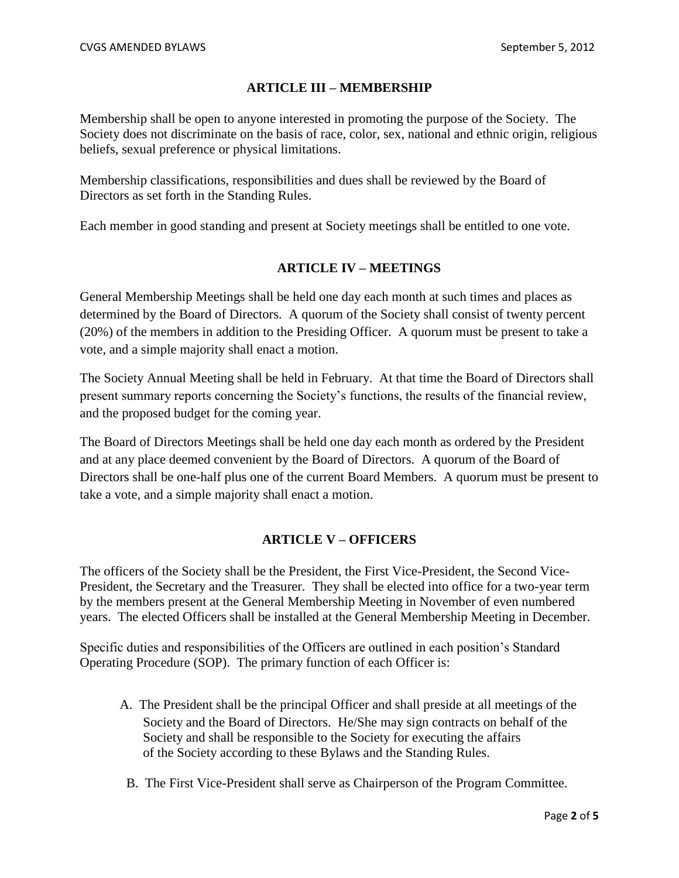#### **ARTICLE III – MEMBERSHIP**

Membership shall be open to anyone interested in promoting the purpose of the Society. The Society does not discriminate on the basis of race, color, sex, national and ethnic origin, religious beliefs, sexual preference or physical limitations.

Membership classifications, responsibilities and dues shall be reviewed by the Board of Directors as set forth in the Standing Rules.

Each member in good standing and present at Society meetings shall be entitled to one vote.

#### **ARTICLE IV – MEETINGS**

General Membership Meetings shall be held one day each month at such times and places as determined by the Board of Directors. A quorum of the Society shall consist of twenty percent (20%) of the members in addition to the Presiding Officer. A quorum must be present to take a vote, and a simple majority shall enact a motion.

The Society Annual Meeting shall be held in February. At that time the Board of Directors shall present summary reports concerning the Society's functions, the results of the financial review, and the proposed budget for the coming year.

The Board of Directors Meetings shall be held one day each month as ordered by the President and at any place deemed convenient by the Board of Directors. A quorum of the Board of Directors shall be one-half plus one of the current Board Members. A quorum must be present to take a vote, and a simple majority shall enact a motion.

#### **ARTICLE V – OFFICERS**

The officers of the Society shall be the President, the First Vice-President, the Second Vice-President, the Secretary and the Treasurer. They shall be elected into office for a two-year term by the members present at the General Membership Meeting in November of even numbered years. The elected Officers shall be installed at the General Membership Meeting in December.

Specific duties and responsibilities of the Officers are outlined in each position's Standard Operating Procedure (SOP). The primary function of each Officer is:

- A. The President shall be the principal Officer and shall preside at all meetings of the Society and the Board of Directors. He/She may sign contracts on behalf of the Society and shall be responsible to the Society for executing the affairs of the Society according to these Bylaws and the Standing Rules.
- B. The First Vice-President shall serve as Chairperson of the Program Committee.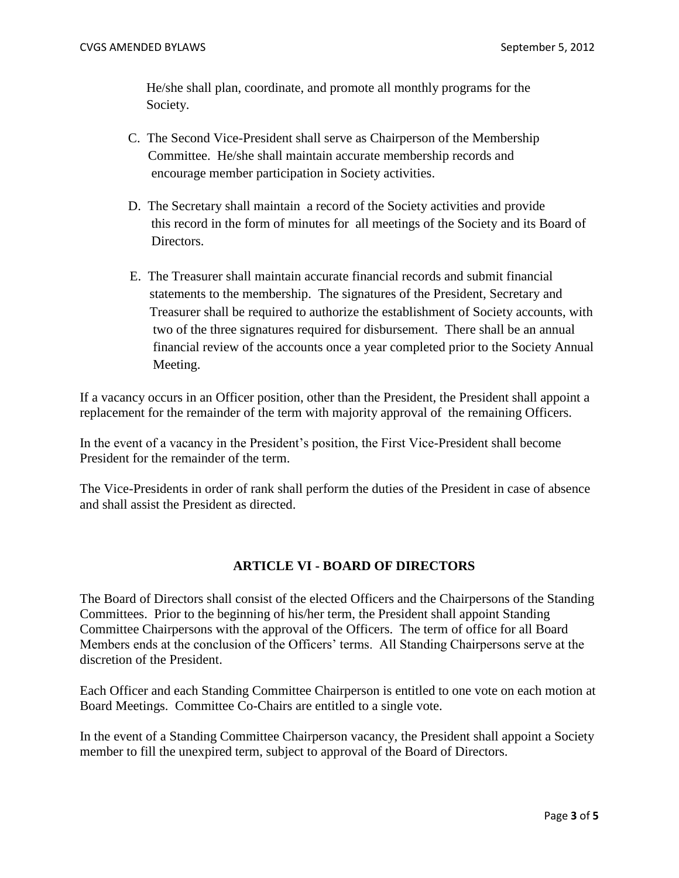He/she shall plan, coordinate, and promote all monthly programs for the Society.

- C. The Second Vice-President shall serve as Chairperson of the Membership Committee. He/she shall maintain accurate membership records and encourage member participation in Society activities.
- D. The Secretary shall maintain a record of the Society activities and provide this record in the form of minutes for all meetings of the Society and its Board of Directors.
- E. The Treasurer shall maintain accurate financial records and submit financial statements to the membership. The signatures of the President, Secretary and Treasurer shall be required to authorize the establishment of Society accounts, with two of the three signatures required for disbursement. There shall be an annual financial review of the accounts once a year completed prior to the Society Annual Meeting.

If a vacancy occurs in an Officer position, other than the President, the President shall appoint a replacement for the remainder of the term with majority approval of the remaining Officers.

In the event of a vacancy in the President's position, the First Vice-President shall become President for the remainder of the term.

The Vice-Presidents in order of rank shall perform the duties of the President in case of absence and shall assist the President as directed.

#### **ARTICLE VI - BOARD OF DIRECTORS**

The Board of Directors shall consist of the elected Officers and the Chairpersons of the Standing Committees. Prior to the beginning of his/her term, the President shall appoint Standing Committee Chairpersons with the approval of the Officers. The term of office for all Board Members ends at the conclusion of the Officers' terms. All Standing Chairpersons serve at the discretion of the President.

Each Officer and each Standing Committee Chairperson is entitled to one vote on each motion at Board Meetings. Committee Co-Chairs are entitled to a single vote.

In the event of a Standing Committee Chairperson vacancy, the President shall appoint a Society member to fill the unexpired term, subject to approval of the Board of Directors.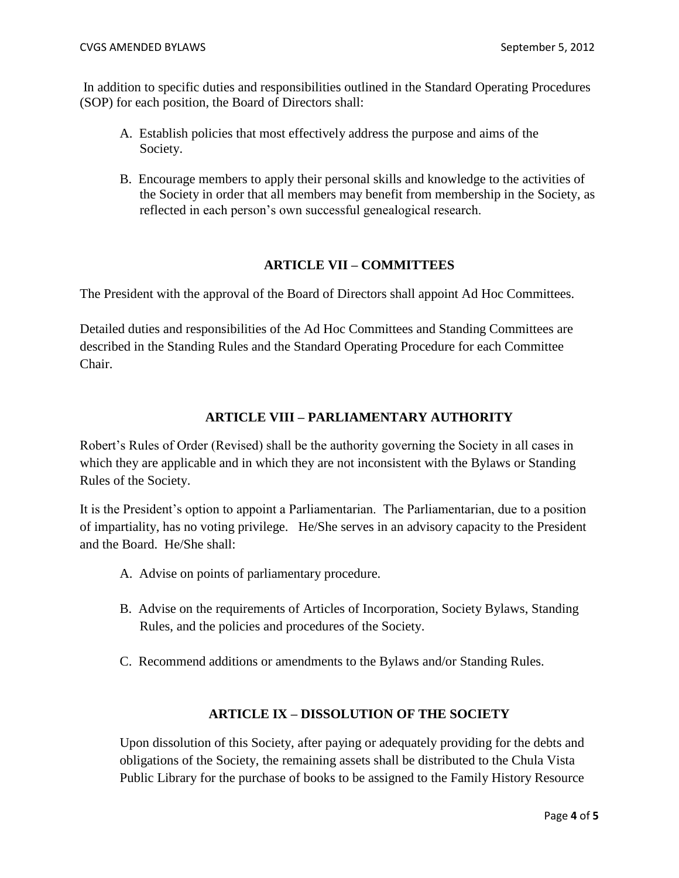In addition to specific duties and responsibilities outlined in the Standard Operating Procedures (SOP) for each position, the Board of Directors shall:

- A. Establish policies that most effectively address the purpose and aims of the Society.
- B. Encourage members to apply their personal skills and knowledge to the activities of the Society in order that all members may benefit from membership in the Society, as reflected in each person's own successful genealogical research.

## **ARTICLE VII – COMMITTEES**

The President with the approval of the Board of Directors shall appoint Ad Hoc Committees.

Detailed duties and responsibilities of the Ad Hoc Committees and Standing Committees are described in the Standing Rules and the Standard Operating Procedure for each Committee Chair.

## **ARTICLE VIII – PARLIAMENTARY AUTHORITY**

Robert's Rules of Order (Revised) shall be the authority governing the Society in all cases in which they are applicable and in which they are not inconsistent with the Bylaws or Standing Rules of the Society.

It is the President's option to appoint a Parliamentarian. The Parliamentarian, due to a position of impartiality, has no voting privilege. He/She serves in an advisory capacity to the President and the Board. He/She shall:

- A. Advise on points of parliamentary procedure.
- B. Advise on the requirements of Articles of Incorporation, Society Bylaws, Standing Rules, and the policies and procedures of the Society.
- C. Recommend additions or amendments to the Bylaws and/or Standing Rules.

#### **ARTICLE IX – DISSOLUTION OF THE SOCIETY**

Upon dissolution of this Society, after paying or adequately providing for the debts and obligations of the Society, the remaining assets shall be distributed to the Chula Vista Public Library for the purchase of books to be assigned to the Family History Resource